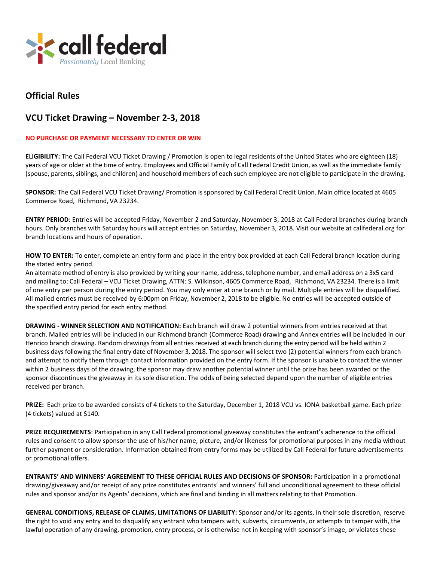

## **Official Rules**

## **VCU Ticket Drawing – November 2-3, 2018**

## **NO PURCHASE OR PAYMENT NECESSARY TO ENTER OR WIN**

**ELIGIBILITY:** The Call Federal VCU Ticket Drawing / Promotion is open to legal residents of the United States who are eighteen (18) years of age or older at the time of entry. Employees and Official Family of Call Federal Credit Union, as well asthe immediate family (spouse, parents, siblings, and children) and household members of each such employee are not eligible to participate in the drawing.

**SPONSOR:** The Call Federal VCU Ticket Drawing/ Promotion is sponsored by Call Federal Credit Union. Main office located at 4605 Commerce Road, Richmond, VA 23234.

**ENTRY PERIOD**: Entries will be accepted Friday, November 2 and Saturday, November 3, 2018 at Call Federal branches during branch hours. Only branches with Saturday hours will accept entries on Saturday, November 3, 2018. Visit our website at callfederal.org for branch locations and hours of operation.

**HOW TO ENTER:** To enter, complete an entry form and place in the entry box provided at each Call Federal branch location during the stated entry period.

An alternate method of entry is also provided by writing your name, address, telephone number, and email address on a 3x5 card and mailing to: Call Federal – VCU Ticket Drawing, ATTN: S. Wilkinson, 4605 Commerce Road, Richmond, VA 23234. There is a limit of one entry per person during the entry period. You may only enter at one branch or by mail. Multiple entries will be disqualified. All mailed entries must be received by 6:00pm on Friday, November 2, 2018 to be eligible. No entries will be accepted outside of the specified entry period for each entry method.

**DRAWING - WINNER SELECTION AND NOTIFICATION:** Each branch will draw 2 potential winners from entries received at that branch. Mailed entries will be included in our Richmond branch (Commerce Road) drawing and Annex entries will be included in our Henrico branch drawing. Random drawings from all entries received at each branch during the entry period will be held within 2 business days following the final entry date of November 3, 2018. The sponsor will select two (2) potential winners from each branch and attempt to notify them through contact information provided on the entry form. If the sponsor is unable to contact the winner within 2 business days of the drawing, the sponsor may draw another potential winner until the prize has been awarded or the sponsor discontinues the giveaway in its sole discretion. The odds of being selected depend upon the number of eligible entries received per branch.

**PRIZE:** Each prize to be awarded consists of 4 tickets to the Saturday, December 1, 2018 VCU vs. IONA basketball game. Each prize (4 tickets) valued at \$140.

**PRIZE REQUIREMENTS**: Participation in any Call Federal promotional giveaway constitutes the entrant's adherence to the official rules and consent to allow sponsor the use of his/her name, picture, and/or likeness for promotional purposes in any media without further payment or consideration. Information obtained from entry forms may be utilized by Call Federal for future advertisements or promotional offers.

**ENTRANTS' AND WINNERS' AGREEMENT TO THESE OFFICIAL RULES AND DECISIONS OF SPONSOR:** Participation in a promotional drawing/giveaway and/or receipt of any prize constitutes entrants' and winners' full and unconditional agreement to these official rules and sponsor and/or its Agents' decisions, which are final and binding in all matters relating to that Promotion.

**GENERAL CONDITIONS, RELEASE OF CLAIMS, LIMITATIONS OF LIABILITY:** Sponsor and/or its agents, in their sole discretion, reserve the right to void any entry and to disqualify any entrant who tampers with, subverts, circumvents, or attempts to tamper with, the lawful operation of any drawing, promotion, entry process, or is otherwise not in keeping with sponsor's image, or violates these